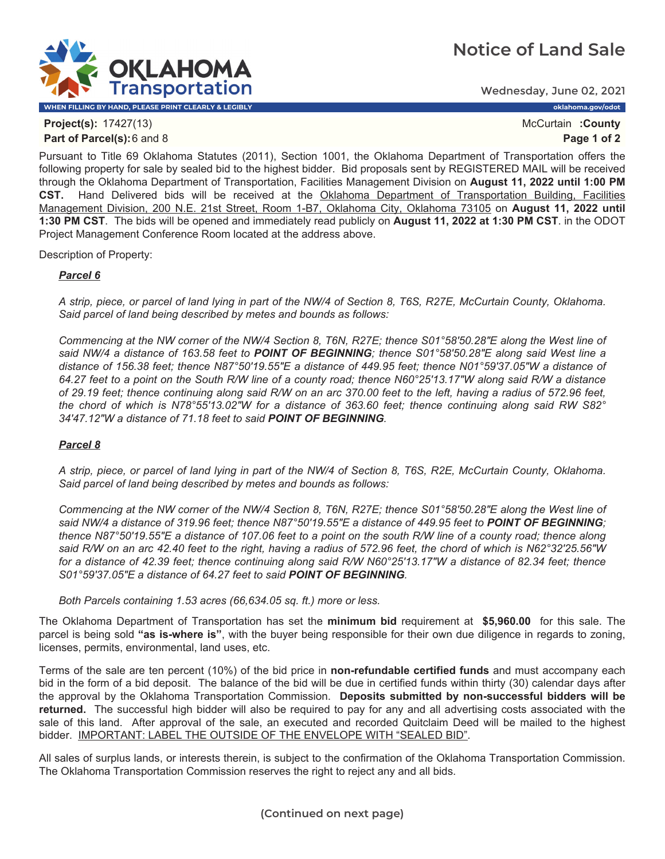## **Notice of Land Sale**



Wednesday, June 02, 2021

**Project(s):** 17427(13) **McCurtain <b>:County** McCurtain **:County McCurtain :County Part of Parcel(s):**6 and 8 **Page 1 of 2**

Pursuant to Title 69 Oklahoma Statutes (2011), Section 1001, the Oklahoma Department of Transportation offers the following property for sale by sealed bid to the highest bidder. Bid proposals sent by REGISTERED MAIL will be received through the Oklahoma Department of Transportation, Facilities Management Division on **August 11, 2022 until 1:00 PM CST.** Hand Delivered bids will be received at the Oklahoma Department of Transportation Building, Facilities Management Division, 200 N.E. 21st Street, Room 1-B7, Oklahoma City, Oklahoma 73105 on **August 11, 2022 until 1:30 PM CST**. The bids will be opened and immediately read publicly on **August 11, 2022 at 1:30 PM CST**. in the ODOT Project Management Conference Room located at the address above.

Description of Property:

## *Parcel 6*

*A strip, piece, or parcel of land lying in part of the NW/4 of Section 8, T6S, R27E, McCurtain County, Oklahoma. Said parcel of land being described by metes and bounds as follows:* 

*Commencing at the NW corner of the NW/4 Section 8, T6N, R27E; thence S01°58'50.28"E along the West line of said NW/4 a distance of 163.58 feet to POINT OF BEGINNING; thence S01°58'50.28"E along said West line a distance of 156.38 feet; thence N87°50'19.55"E a distance of 449.95 feet; thence N01°59'37.05"W a distance of 64.27 feet to a point on the South R/W line of a county road; thence N60°25'13.17"W along said R/W a distance of 29.19 feet; thence continuing along said R/W on an arc 370.00 feet to the left, having a radius of 572.96 feet, the chord of which is N78°55'13.02"W for a distance of 363.60 feet; thence continuing along said RW S82° 34'47.12"W a distance of 71.18 feet to said POINT OF BEGINNING.* 

## *Parcel 8*

*A strip, piece, or parcel of land lying in part of the NW/4 of Section 8, T6S, R2E, McCurtain County, Oklahoma. Said parcel of land being described by metes and bounds as follows:* 

*Commencing at the NW corner of the NW/4 Section 8, T6N, R27E; thence S01°58'50.28"E along the West line of*  said NW/4 a distance of 319.96 feet; thence N87°50'19.55"E a distance of 449.95 feet to **POINT OF BEGINNING**; *thence N87°50'19.55"E a distance of 107.06 feet to a point on the south R/W line of a county road; thence along said R/W on an arc 42.40 feet to the right, having a radius of 572.96 feet, the chord of which is N62°32'25.56"W for a distance of 42.39 feet; thence continuing along said R/W N60°25'13.17"W a distance of 82.34 feet; thence S01°59'37.05"E a distance of 64.27 feet to said POINT OF BEGINNING.* 

*Both Parcels containing 1.53 acres (66,634.05 sq. ft.) more or less.*

The Oklahoma Department of Transportation has set the **minimum bid** requirement at **\$5,960.00** for this sale. The parcel is being sold **"as is-where is"**, with the buyer being responsible for their own due diligence in regards to zoning, licenses, permits, environmental, land uses, etc.

Terms of the sale are ten percent (10%) of the bid price in **non-refundable certified funds** and must accompany each bid in the form of a bid deposit. The balance of the bid will be due in certified funds within thirty (30) calendar days after the approval by the Oklahoma Transportation Commission. **Deposits submitted by non-successful bidders will be returned.** The successful high bidder will also be required to pay for any and all advertising costs associated with the sale of this land. After approval of the sale, an executed and recorded Quitclaim Deed will be mailed to the highest bidder. IMPORTANT: LABEL THE OUTSIDE OF THE ENVELOPE WITH "SEALED BID".

All sales of surplus lands, or interests therein, is subject to the confirmation of the Oklahoma Transportation Commission. The Oklahoma Transportation Commission reserves the right to reject any and all bids.